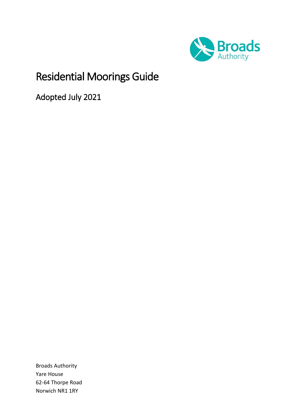

# Residential Moorings Guide

<span id="page-0-0"></span>Adopted July 2021

Broads Authority Yare House 62-64 Thorpe Road Norwich NR1 1RY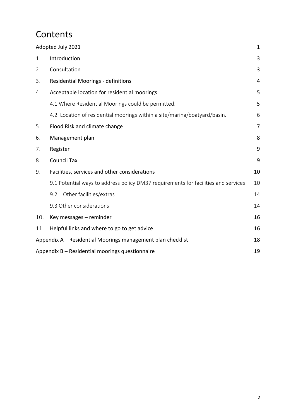## **Contents**

| Adopted July 2021                                           |                                                                                    |    |  |  |
|-------------------------------------------------------------|------------------------------------------------------------------------------------|----|--|--|
| 1.                                                          | Introduction                                                                       |    |  |  |
| 2.                                                          | Consultation                                                                       |    |  |  |
| 3.                                                          | <b>Residential Moorings - definitions</b>                                          |    |  |  |
| 4.                                                          | Acceptable location for residential moorings                                       | 5  |  |  |
|                                                             | 4.1 Where Residential Moorings could be permitted.                                 | 5  |  |  |
|                                                             | 4.2 Location of residential moorings within a site/marina/boatyard/basin.          | 6  |  |  |
| 5.                                                          | Flood Risk and climate change                                                      | 7  |  |  |
| 6.                                                          | Management plan                                                                    |    |  |  |
| 7.                                                          | Register                                                                           |    |  |  |
| 8.                                                          | <b>Council Tax</b>                                                                 |    |  |  |
| 9.                                                          | Facilities, services and other considerations                                      | 10 |  |  |
|                                                             | 9.1 Potential ways to address policy DM37 requirements for facilities and services | 10 |  |  |
|                                                             | Other facilities/extras<br>9.2                                                     | 14 |  |  |
|                                                             | 9.3 Other considerations                                                           | 14 |  |  |
| 10.                                                         | Key messages - reminder                                                            | 16 |  |  |
| 11.                                                         | Helpful links and where to go to get advice                                        | 16 |  |  |
| Appendix A - Residential Moorings management plan checklist |                                                                                    |    |  |  |
| Appendix B - Residential moorings questionnaire<br>19       |                                                                                    |    |  |  |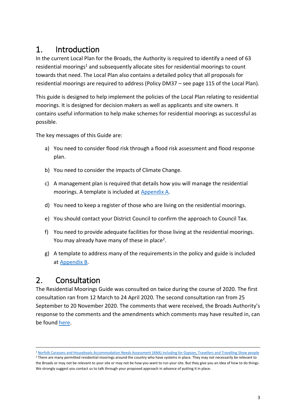## <span id="page-2-0"></span>1. Introduction

In the current Local Plan for the Broads, the Authority is required to identify a need of 63 residential moorings<sup>1</sup> and subsequently allocate sites for residential moorings to count towards that need. The Local Plan also contains a detailed policy that all proposals for residential moorings are required to address (Policy DM37 – see page 115 of the Local Plan).

This guide is designed to help implement the policies of the Local Plan relating to residential moorings. It is designed for decision makers as well as applicants and site owners. It contains useful information to help make schemes for residential moorings as successful as possible.

The key messages of this Guide are:

- a) You need to consider flood risk through a flood risk assessment and flood response plan.
- b) You need to consider the impacts of Climate Change.
- c) A management plan is required that details how you will manage the residential moorings. A template is included at Appendix A.
- d) You need to keep a register of those who are living on the residential moorings.
- e) You should contact your District Council to confirm the approach to Council Tax.
- f) You need to provide adequate facilities for those living at the residential moorings. You may already have many of these in place<sup>2</sup>.
- g) A template to address many of the requirements in the policy and guide is included at [Appendix B.](#page-18-0)

## <span id="page-2-1"></span>2. Consultation

The Residential Moorings Guide was consulted on twice during the course of 2020. The first consultation ran from 12 March to 24 April 2020. The second consultation ran from 25 September to 20 November 2020. The comments that were received, the Broads Authority's response to the comments and the amendments which comments may have resulted in, can be found [here.](https://www.broads-authority.gov.uk/__data/assets/pdf_file/0029/388046/Residential_Moorings_Guide_-_endorsement_for_BA_adoption.pdf)

<sup>-</sup><sup>1</sup> [Norfolk Caravans and Houseboats Accommodation Needs Assessment \(ANA\) including for Gypsies, Travellers and Travelling Show people](https://www.broads-authority.gov.uk/__data/assets/pdf_file/0009/1023102/Norfolk-Final-ANA-October-9th-2017.pdf)

<sup>&</sup>lt;sup>2</sup> There are many permitted residential moorings around the country who have systems in place. They may not necessarily be relevant to the Broads or may not be relevant to your site or may not be how you want to run your site. But they give you an idea of how to do things. We strongly suggest you contact us to talk through your proposed approach in advance of putting it in place.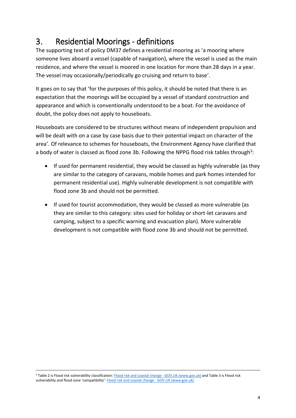## <span id="page-3-0"></span>3. Residential Moorings - definitions

The supporting text of policy DM37 defines a residential mooring as 'a mooring where someone lives aboard a vessel (capable of navigation), where the vessel is used as the main residence, and where the vessel is moored in one location for more than 28 days in a year. The vessel may occasionally/periodically go cruising and return to base'.

It goes on to say that 'for the purposes of this policy, it should be noted that there is an expectation that the moorings will be occupied by a vessel of standard construction and appearance and which is conventionally understood to be a boat. For the avoidance of doubt, the policy does not apply to houseboats.

Houseboats are considered to be structures without means of independent propulsion and will be dealt with on a case by case basis due to their potential impact on character of the area'. Of relevance to schemes for houseboats, the Environment Agency have clarified that a body of water is classed as flood zone 3b. Following the NPPG flood risk tables through<sup>3</sup>:

- If used for permanent residential, they would be classed as highly vulnerable (as they are similar to the category of caravans, mobile homes and park homes intended for permanent residential use). Highly vulnerable development is not compatible with flood zone 3b and should not be permitted.
- If used for tourist accommodation, they would be classed as more vulnerable (as they are similar to this category: sites used for holiday or short-let caravans and camping, subject to a specific warning and evacuation plan). More vulnerable development is not compatible with flood zone 3b and should not be permitted.

-

<sup>&</sup>lt;sup>3</sup> Table 2 is Flood risk vulnerability classification: **Flood risk and coastal change - GOV.UK** (www.gov.uk) and Table 3 is Flood risk vulnerability and flood zone 'compatibility': [Flood risk and coastal change -](https://www.gov.uk/guidance/flood-risk-and-coastal-change#Table-3-Flood-risk-vulnerability) GOV.UK (www.gov.uk)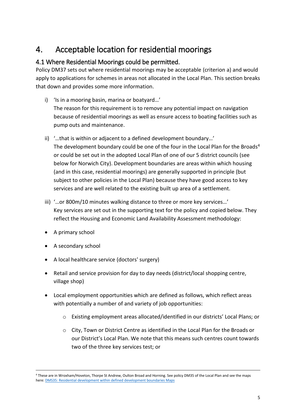## <span id="page-4-0"></span>4. Acceptable location for residential moorings

## <span id="page-4-1"></span>4.1 Where Residential Moorings could be permitted.

Policy DM37 sets out where residential moorings may be acceptable (criterion a) and would apply to applications for schemes in areas not allocated in the Local Plan. This section breaks that down and provides some more information.

- i) 'Is in a mooring basin, marina or boatyard…' The reason for this requirement is to remove any potential impact on navigation because of residential moorings as well as ensure access to boating facilities such as pump outs and maintenance.
- ii) '…that is within or adjacent to a defined development boundary…' The development boundary could be one of the four in the Local Plan for the Broads<sup>4</sup> or could be set out in the adopted Local Plan of one of our 5 district councils (see below for Norwich City). Development boundaries are areas within which housing (and in this case, residential moorings) are generally supported in principle (but subject to other policies in the Local Plan) because they have good access to key services and are well related to the existing built up area of a settlement.
- iii) '…or 800m/10 minutes walking distance to three or more key services…' Key services are set out in the supporting text for the policy and copied below. They reflect the Housing and Economic Land Availability Assessment methodology:
- A primary school

-

- A secondary school
- A local healthcare service (doctors' surgery)
- Retail and service provision for day to day needs (district/local shopping centre, village shop)
- Local employment opportunities which are defined as follows, which reflect areas with potentially a number of and variety of job opportunities:
	- o Existing employment areas allocated/identified in our districts' Local Plans; or
	- $\circ$  City, Town or District Centre as identified in the Local Plan for the Broads or our District's Local Plan. We note that this means such centres count towards two of the three key services test; or

<sup>4</sup> These are in Wroxham/Hoveton, Thorpe St Andrew, Oulton Broad and Horning. See policy DM35 of the Local Plan and see the maps here[: DMS35: Residential development within defined development boundaries Maps](https://www.broads-authority.gov.uk/__data/assets/pdf_file/0003/1565832/DEVELOPMENT_BOUNDARIES.pdf)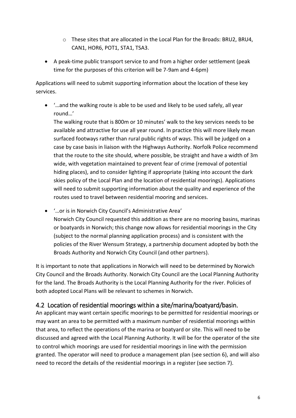- o These sites that are allocated in the Local Plan for the Broads: BRU2, BRU4, CAN1, HOR6, POT1, STA1, TSA3.
- A peak-time public transport service to and from a higher order settlement (peak time for the purposes of this criterion will be 7-9am and 4-6pm)

Applications will need to submit supporting information about the location of these key services.

• '…and the walking route is able to be used and likely to be used safely, all year round…'

The walking route that is 800m or 10 minutes' walk to the key services needs to be available and attractive for use all year round. In practice this will more likely mean surfaced footways rather than rural public rights of ways. This will be judged on a case by case basis in liaison with the Highways Authority. Norfolk Police recommend that the route to the site should, where possible, be straight and have a width of 3m wide, with vegetation maintained to prevent fear of crime (removal of potential hiding places), and to consider lighting if appropriate (taking into account the dark skies policy of the Local Plan and the location of residential moorings). Applications will need to submit supporting information about the quality and experience of the routes used to travel between residential mooring and services.

• '…or is in Norwich City Council's Administrative Area' Norwich City Council requested this addition as there are no mooring basins, marinas or boatyards in Norwich; this change now allows for residential moorings in the City (subject to the normal planning application process) and is consistent with the policies of the River Wensum Strategy, a partnership document adopted by both the Broads Authority and Norwich City Council (and other partners).

It is important to note that applications in Norwich will need to be determined by Norwich City Council and the Broads Authority. Norwich City Council are the Local Planning Authority for the land. The Broads Authority is the Local Planning Authority for the river. Policies of both adopted Local Plans will be relevant to schemes in Norwich.

## <span id="page-5-0"></span>4.2 Location of residential moorings within a site/marina/boatyard/basin.

An applicant may want certain specific moorings to be permitted for residential moorings or may want an area to be permitted with a maximum number of residential moorings within that area, to reflect the operations of the marina or boatyard or site. This will need to be discussed and agreed with the Local Planning Authority. It will be for the operator of the site to control which moorings are used for residential moorings in line with the permission granted. The operator will need to produce a management plan (see section 6), and will also need to record the details of the residential moorings in a register (see section 7).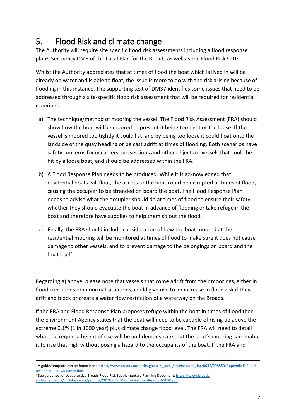## <span id="page-6-0"></span>5. Flood Risk and climate change

The Authority will require site specific flood risk assessments including a flood response plan<sup>5</sup>. See policy DM5 of the Local Plan for the Broads as well as the Flood Risk SPD<sup>6</sup>.

Whilst the Authority appreciates that at times of flood the boat which is lived in will be already on water and is able to float, the issue is more to do with the risk arising because of flooding in this instance. The supporting text of DM37 identifies some issues that need to be addressed through a site-specific flood risk assessment that will be required for residential moorings.

- a) The technique/method of mooring the vessel. The Flood Risk Assessment (FRA) should show how the boat will be moored to prevent it being too tight or too loose. If the vessel is moored too tightly it could list, and by being too loose it could float onto the landside of the quay heading or be cast adrift at times of flooding. Both scenarios have safety concerns for occupiers, possessions and other objects or vessels that could be hit by a loose boat, and should be addressed within the FRA.
- b) A Flood Response Plan needs to be produced. While it is acknowledged that residential boats will float, the access to the boat could be disrupted at times of flood, causing the occupier to be stranded on board the boat. The Flood Response Plan needs to advise what the occupier should do at times of flood to ensure their safety whether they should evacuate the boat in advance of flooding or take refuge in the boat and therefore have supplies to help them sit out the flood.
- c) Finally, the FRA should include consideration of how the boat moored at the residential mooring will be monitored at times of flood to make sure it does not cause damage to other vessels, and to prevent damage to the belongings on board and the boat itself.

Regarding a) above, please note that vessels that come adrift from their moorings, either in flood conditions or in normal situations, could give rise to an increase in flood risk if they drift and block or create a water flow restriction of a waterway on the Broads.

If the FRA and Flood Response Plan proposes refuge within the boat in times of flood then the Environment Agency states that the boat will need to be capable of rising up above the extreme 0.1% (1 in 1000 year) plus climate change flood level. The FRA will need to detail what the required height of rise will be and demonstrate that the boat's mooring can enable it to rise that high without posing a hazard to the occupants of the boat. If the FRA and

<sup>-</sup><sup>5</sup> A guide/template can be found here: https://www.broads-authority.gov.uk/ data/assets/word doc/0032/298850/Appendix-D-Flood-[Response-Plan-Guidance.docx](https://www.broads-authority.gov.uk/__data/assets/word_doc/0032/298850/Appendix-D-Flood-Response-Plan-Guidance.docx)

<sup>&</sup>lt;sup>6</sup> See guidance for best practice Broads Flood Risk Supplementary Planning Document[: https://www.broads](https://www.broads-authority.gov.uk/__data/assets/pdf_file/0019/236404/Broads-Flood-Risk-SPD-2020.pdf)[authority.gov.uk/\\_\\_data/assets/pdf\\_file/0019/236404/Broads-Flood-Risk-SPD-2020.pdf](https://www.broads-authority.gov.uk/__data/assets/pdf_file/0019/236404/Broads-Flood-Risk-SPD-2020.pdf)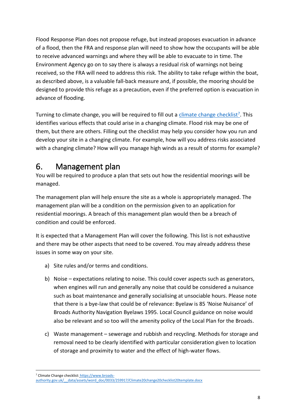Flood Response Plan does not propose refuge, but instead proposes evacuation in advance of a flood, then the FRA and response plan will need to show how the occupants will be able to receive advanced warnings and where they will be able to evacuate to in time. The Environment Agency go on to say there is always a residual risk of warnings not being received, so the FRA will need to address this risk. The ability to take refuge within the boat, as described above, is a valuable fall-back measure and, if possible, the mooring should be designed to provide this refuge as a precaution, even if the preferred option is evacuation in advance of flooding.

Turning to climate change, you will be required to fill out a [climate change checklist](https://www.broads-authority.gov.uk/__data/assets/word_doc/0033/259917/Climate20change20checklist20template.docx)<sup>7</sup>. This identifies various effects that could arise in a changing climate. Flood risk may be one of them, but there are others. Filling out the checklist may help you consider how you run and develop your site in a changing climate. For example, how will you address risks associated with a changing climate? How will you manage high winds as a result of storms for example?

## <span id="page-7-0"></span>6. Management plan

You will be required to produce a plan that sets out how the residential moorings will be managed.

The management plan will help ensure the site as a whole is appropriately managed. The management plan will be a condition on the permission given to an application for residential moorings. A breach of this management plan would then be a breach of condition and could be enforced.

It is expected that a Management Plan will cover the following. This list is not exhaustive and there may be other aspects that need to be covered. You may already address these issues in some way on your site.

- a) Site rules and/or terms and conditions.
- b) Noise expectations relating to noise. This could cover aspects such as generators, when engines will run and generally any noise that could be considered a nuisance such as boat maintenance and generally socialising at unsociable hours. Please note that there is a bye-law that could be of relevance: Byelaw is 85 'Noise Nuisance' of Broads Authority Navigation Byelaws 1995. Local Council guidance on noise would also be relevant and so too will the amenity policy of the Local Plan for the Broads.
- c) Waste management sewerage and rubbish and recycling. Methods for storage and removal need to be clearly identified with particular consideration given to location of storage and proximity to water and the effect of high-water flows.

<sup>7</sup> Climate Change checklist: [https://www.broads-](https://www.broads-authority.gov.uk/__data/assets/word_doc/0033/259917/Climate20change20checklist20template.docx)

[authority.gov.uk/\\_\\_data/assets/word\\_doc/0033/259917/Climate20change20checklist20template.docx](https://www.broads-authority.gov.uk/__data/assets/word_doc/0033/259917/Climate20change20checklist20template.docx)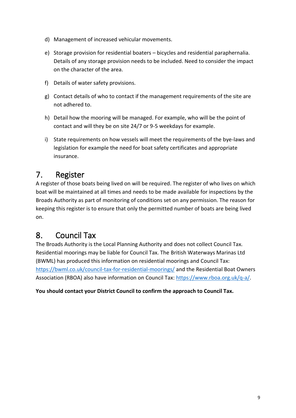- d) Management of increased vehicular movements.
- e) Storage provision for residential boaters bicycles and residential paraphernalia. Details of any storage provision needs to be included. Need to consider the impact on the character of the area.
- f) Details of water safety provisions.
- g) Contact details of who to contact if the management requirements of the site are not adhered to.
- h) Detail how the mooring will be managed. For example, who will be the point of contact and will they be on site 24/7 or 9-5 weekdays for example.
- i) State requirements on how vessels will meet the requirements of the bye-laws and legislation for example the need for boat safety certificates and appropriate insurance.

## <span id="page-8-0"></span>7. Register

A register of those boats being lived on will be required. The register of who lives on which boat will be maintained at all times and needs to be made available for inspections by the Broads Authority as part of monitoring of conditions set on any permission. The reason for keeping this register is to ensure that only the permitted number of boats are being lived on.

## <span id="page-8-1"></span>8. Council Tax

The Broads Authority is the Local Planning Authority and does not collect Council Tax. Residential moorings may be liable for Council Tax. The British Waterways Marinas Ltd (BWML) has produced this information on residential moorings and Council Tax: <https://bwml.co.uk/council-tax-for-residential-moorings/> and the Residential Boat Owners Association (RBOA) also have information on Council Tax: [https://www.rboa.org.uk/q-a/.](https://www.rboa.org.uk/q-a/)

**You should contact your District Council to confirm the approach to Council Tax.**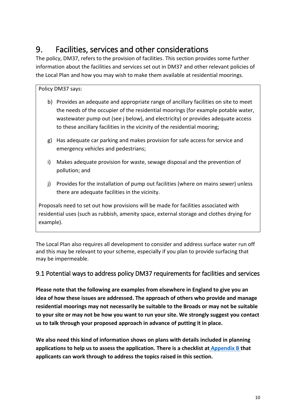## <span id="page-9-0"></span>9. Facilities, services and other considerations

The policy, DM37, refers to the provision of facilities. This section provides some further information about the facilities and services set out in DM37 and other relevant policies of the Local Plan and how you may wish to make them available at residential moorings.

### Policy DM37 says:

- b) Provides an adequate and appropriate range of ancillary facilities on site to meet the needs of the occupier of the residential moorings (for example potable water, wastewater pump out (see j below), and electricity) or provides adequate access to these ancillary facilities in the vicinity of the residential mooring;
- g) Has adequate car parking and makes provision for safe access for service and emergency vehicles and pedestrians;
- i) Makes adequate provision for waste, sewage disposal and the prevention of pollution; and
- j) Provides for the installation of pump out facilities (where on mains sewer) unless there are adequate facilities in the vicinity.

Proposals need to set out how provisions will be made for facilities associated with residential uses (such as rubbish, amenity space, external storage and clothes drying for example).

The Local Plan also requires all development to consider and address surface water run off and this may be relevant to your scheme, especially if you plan to provide surfacing that may be impermeable.

## <span id="page-9-1"></span>9.1 Potential ways to address policy DM37 requirements for facilities and services

**Please note that the following are examples from elsewhere in England to give you an idea of how these issues are addressed. The approach of others who provide and manage residential moorings may not necessarily be suitable to the Broads or may not be suitable to your site or may not be how you want to run your site. We strongly suggest you contact us to talk through your proposed approach in advance of putting it in place.**

**We also need this kind of information shows on plans with details included in planning applications to help us to assess the application. There is a checklist at [Appendix B](#page-18-0) that applicants can work through to address the topics raised in this section.**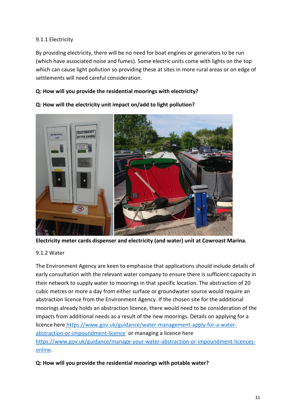### 9.1.1 Electricity

By providing electricity, there will be no need for boat engines or generators to be run (which have associated noise and fumes). Some electric units come with lights on the top which can cause light pollution so providing these at sites in more rural areas or on edge of settlements will need careful consideration.

### **Q: How will you provide the residential moorings with electricity?**



#### **Q: How will the electricity unit impact on/add to light pollution?**

**Electricity meter cards dispenser and electricity (and water) unit at Cowroast Marina.**

#### 9.1.2 Water

The Environment Agency are keen to emphasise that applications should include details of early consultation with the relevant water company to ensure there is sufficient capacity in their network to supply water to moorings in that specific location. The abstraction of 20 cubic metres or more a day from either surface or groundwater source would require an abstraction licence from the Environment Agency. If the chosen site for the additional moorings already holds an abstraction licence, there would need to be consideration of the impacts from additional needs as a result of the new moorings. Details on applying for a licence here [https://www.gov.uk/guidance/water-management-apply-for-a-water](https://www.gov.uk/guidance/water-management-apply-for-a-water-abstraction-or-impoundment-licence)[abstraction-or-impoundment-licence](https://www.gov.uk/guidance/water-management-apply-for-a-water-abstraction-or-impoundment-licence) or managing a licence here [https://www.gov.uk/guidance/manage-your-water-abstraction-or-impoundment-licences](https://www.gov.uk/guidance/manage-your-water-abstraction-or-impoundment-licences-online)[online.](https://www.gov.uk/guidance/manage-your-water-abstraction-or-impoundment-licences-online)

### **Q: How will you provide the residential moorings with potable water?**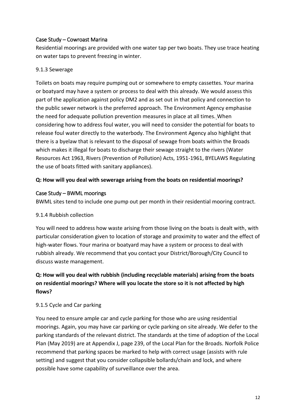### Case Study – Cowroast Marina

Residential moorings are provided with one water tap per two boats. They use trace heating on water taps to prevent freezing in winter.

### 9.1.3 Sewerage

Toilets on boats may require pumping out or somewhere to empty cassettes. Your marina or boatyard may have a system or process to deal with this already. We would assess this part of the application against policy DM2 and as set out in that policy and connection to the public sewer network is the preferred approach. The Environment Agency emphasise the need for adequate pollution prevention measures in place at all times. When considering how to address foul water, you will need to consider the potential for boats to release foul water directly to the waterbody. The Environment Agency also highlight that there is a byelaw that is relevant to the disposal of sewage from boats within the Broads which makes it illegal for boats to discharge their sewage straight to the rivers (Water Resources Act 1963, Rivers (Prevention of Pollution) Acts, 1951-1961, BYELAWS Regulating the use of boats fitted with sanitary appliances).

### **Q: How will you deal with sewerage arising from the boats on residential moorings?**

### Case Study – BWML moorings

BWML sites tend to include one pump out per month in their residential mooring contract.

#### 9.1.4 Rubbish collection

You will need to address how waste arising from those living on the boats is dealt with, with particular consideration given to location of storage and proximity to water and the effect of high-water flows. Your marina or boatyard may have a system or process to deal with rubbish already. We recommend that you contact your District/Borough/City Council to discuss waste management.

## **Q: How will you deal with rubbish (including recyclable materials) arising from the boats on residential moorings? Where will you locate the store so it is not affected by high flows?**

### 9.1.5 Cycle and Car parking

You need to ensure ample car and cycle parking for those who are using residential moorings. Again, you may have car parking or cycle parking on site already. We defer to the parking standards of the relevant district. The standards at the time of adoption of the Local Plan (May 2019) are at Appendix J, page 239, of the Local Plan for the Broads. Norfolk Police recommend that parking spaces be marked to help with correct usage (assists with rule setting) and suggest that you consider collapsible bollards/chain and lock, and where possible have some capability of surveillance over the area.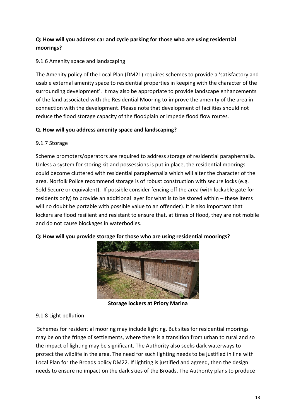## **Q: How will you address car and cycle parking for those who are using residential moorings?**

### 9.1.6 Amenity space and landscaping

The Amenity policy of the Local Plan (DM21) requires schemes to provide a 'satisfactory and usable external amenity space to residential properties in keeping with the character of the surrounding development'. It may also be appropriate to provide landscape enhancements of the land associated with the Residential Mooring to improve the amenity of the area in connection with the development. Please note that development of facilities should not reduce the flood storage capacity of the floodplain or impede flood flow routes.

### **Q. How will you address amenity space and landscaping?**

### 9.1.7 Storage

Scheme promoters/operators are required to address storage of residential paraphernalia. Unless a system for storing kit and possessions is put in place, the residential moorings could become cluttered with residential paraphernalia which will alter the character of the area. Norfolk Police recommend storage is of robust construction with secure locks (e.g. Sold Secure or equivalent). If possible consider fencing off the area (with lockable gate for residents only) to provide an additional layer for what is to be stored within – these items will no doubt be portable with possible value to an offender). It is also important that lockers are flood resilient and resistant to ensure that, at times of flood, they are not mobile and do not cause blockages in waterbodies.

#### **Q: How will you provide storage for those who are using residential moorings?**



**Storage lockers at Priory Marina**

### 9.1.8 Light pollution

Schemes for residential mooring may include lighting. But sites for residential moorings may be on the fringe of settlements, where there is a transition from urban to rural and so the impact of lighting may be significant. The Authority also seeks dark waterways to protect the wildlife in the area. The need for such lighting needs to be justified in line with Local Plan for the Broads policy DM22. If lighting is justified and agreed, then the design needs to ensure no impact on the dark skies of the Broads. The Authority plans to produce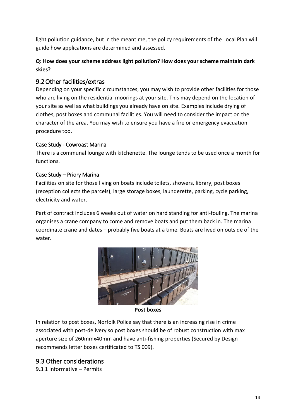light pollution guidance, but in the meantime, the policy requirements of the Local Plan will guide how applications are determined and assessed.

## **Q: How does your scheme address light pollution? How does your scheme maintain dark skies?**

## <span id="page-13-0"></span>9.2Other facilities/extras

Depending on your specific circumstances, you may wish to provide other facilities for those who are living on the residential moorings at your site. This may depend on the location of your site as well as what buildings you already have on site. Examples include drying of clothes, post boxes and communal facilities. You will need to consider the impact on the character of the area. You may wish to ensure you have a fire or emergency evacuation procedure too.

### Case Study - Cowroast Marina

There is a communal lounge with kitchenette. The lounge tends to be used once a month for functions.

### Case Study – Priory Marina

Facilities on site for those living on boats include toilets, showers, library, post boxes (reception collects the parcels), large storage boxes, launderette, parking, cycle parking, electricity and water.

Part of contract includes 6 weeks out of water on hard standing for anti-fouling. The marina organises a crane company to come and remove boats and put them back in. The marina coordinate crane and dates – probably five boats at a time. Boats are lived on outside of the water.



**Post boxes**

In relation to post boxes, Norfolk Police say that there is an increasing rise in crime associated with post-delivery so post boxes should be of robust construction with max aperture size of 260mmx40mm and have anti-fishing properties (Secured by Design recommends letter boxes certificated to TS 009).

## <span id="page-13-1"></span>9.3 Other considerations

9.3.1 Informative – Permits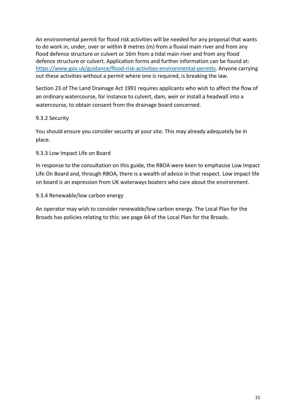An environmental permit for flood risk activities will be needed for any proposal that wants to do work in, under, over or within 8 metres (m) from a fluvial main river and from any flood defence structure or culvert or 16m from a tidal main river and from any flood defence structure or culvert. Application forms and further information can be found at: [https://www.gov.uk/guidance/flood-risk-activities-environmental-permits.](https://www.gov.uk/guidance/flood-risk-activities-environmental-permits) Anyone carrying out these activities without a permit where one is required, is breaking the law.

Section 23 of The Land Drainage Act 1991 requires applicants who wish to affect the flow of an ordinary watercourse, for instance to culvert, dam, weir or install a headwall into a watercourse, to obtain consent from the drainage board concerned.

### 9.3.2 Security

You should ensure you consider security at your site. This may already adequately be in place.

#### 9.3.3 Low Impact Life on Board

In response to the consultation on this guide, the RBOA were keen to emphasise Low Impact Life On Board and, through RBOA, there is a wealth of advice in that respect. Low impact life on board is an expression from UK waterways boaters who care about the environment.

#### 9.3.4 Renewable/low carbon energy

An operator may wish to consider renewable/low carbon energy. The Local Plan for the Broads has policies relating to this: see page 64 of the Local Plan for the Broads.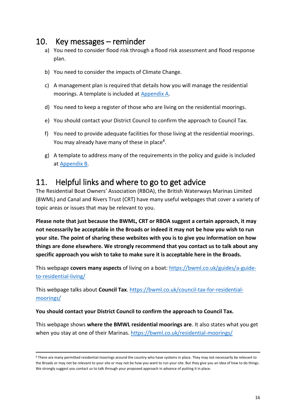## <span id="page-15-0"></span>10. Key messages – reminder

- a) You need to consider flood risk through a flood risk assessment and flood response plan.
- b) You need to consider the impacts of Climate Change.
- c) A management plan is required that details how you will manage the residential moorings. A template is included at Appendix A.
- d) You need to keep a register of those who are living on the residential moorings.
- e) You should contact your District Council to confirm the approach to Council Tax.
- f) You need to provide adequate facilities for those living at the residential moorings. You may already have many of these in place<sup>8</sup>.
- g) A template to address many of the requirements in the policy and guide is included at [Appendix B.](#page-18-0)

## <span id="page-15-1"></span>11. Helpful links and where to go to get advice

The Residential Boat Owners' Association (RBOA), the British Waterways Marinas Limited (BWML) and Canal and Rivers Trust (CRT) have many useful webpages that cover a variety of topic areas or issues that may be relevant to you.

**Please note that just because the BWML, CRT or RBOA suggest a certain approach, it may not necessarily be acceptable in the Broads or indeed it may not be how you wish to run your site. The point of sharing these websites with you is to give you information on how things are done elsewhere. We strongly recommend that you contact us to talk about any specific approach you wish to take to make sure it is acceptable here in the Broads.**

This webpage **covers many aspects** of living on a boat: [https://bwml.co.uk/guides/a-guide](https://bwml.co.uk/guides/a-guide-to-residential-living/)[to-residential-living/](https://bwml.co.uk/guides/a-guide-to-residential-living/)

This webpage talks about **Council Tax**. [https://bwml.co.uk/council-tax-for-residential](https://bwml.co.uk/council-tax-for-residential-moorings/)[moorings/](https://bwml.co.uk/council-tax-for-residential-moorings/)

#### **You should contact your District Council to confirm the approach to Council Tax.**

This webpage shows **where the BMWL residential moorings are**. It also states what you get when you stay at one of their Marinas.<https://bwml.co.uk/residential-moorings/>

<sup>-</sup>8 There are many permitted residential moorings around the country who have systems in place. They may not necessarily be relevant to the Broads or may not be relevant to your site or may not be how you want to run your site. But they give you an idea of how to do things. We strongly suggest you contact us to talk through your proposed approach in advance of putting it in place.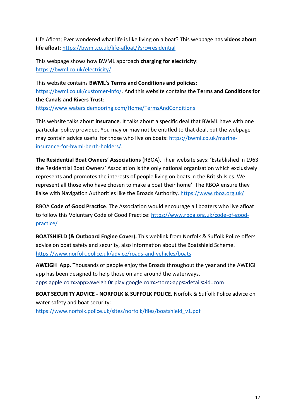Life Afloat; Ever wondered what life is like living on a boat? This webpage has **videos about life afloat**:<https://bwml.co.uk/life-afloat/?src=residential>

This webpage shows how BWML approach **charging for electricity**: <https://bwml.co.uk/electricity/>

This website contains **BWML's Terms and Conditions and policies**: [https://bwml.co.uk/customer-info/.](https://bwml.co.uk/customer-info/) And this website contains the **Terms and Conditions for the Canals and Rivers Trust**: <https://www.watersidemooring.com/Home/TermsAndConditions>

This website talks about **insurance**. It talks about a specific deal that BWML have with one particular policy provided. You may or may not be entitled to that deal, but the webpage may contain advice useful for those who live on boats: [https://bwml.co.uk/marine](https://bwml.co.uk/marine-insurance-for-bwml-berth-holders/)[insurance-for-bwml-berth-holders/.](https://bwml.co.uk/marine-insurance-for-bwml-berth-holders/)

**The Residential Boat Owners' Associations** (RBOA). Their website says: 'Established in 1963 the Residential Boat Owners' Association is the only national organisation which exclusively represents and promotes the interests of people living on boats in the British Isles. We represent all those who have chosen to make a boat their home'. The RBOA ensure they liaise with Navigation Authorities like the Broads Authority. <https://www.rboa.org.uk/>

RBOA **Code of Good Practice**. The Association would encourage all boaters who live afloat to follow this Voluntary Code of Good Practice: [https://www.rboa.org.uk/code-of-good](https://www.rboa.org.uk/code-of-good-practice/)[practice/](https://www.rboa.org.uk/code-of-good-practice/)

**BOATSHIELD (& Outboard Engine Cover).** This weblink from Norfolk & Suffolk Police offers advice on boat safety and security, also information about the Boatshield Scheme. <https://www.norfolk.police.uk/advice/roads-and-vehicles/boats>

**AWEIGH App.** Thousands of people enjoy the Broads throughout the year and the AWEIGH app has been designed to help those on and around the waterways. apps.apple.com>app>aweigh 0r play.google.com>store>apps>details>id=com

**BOAT SECURITY ADVICE - NORFOLK & SUFFOLK POLICE.** Norfolk & Suffolk Police advice on water safety and boat security:

[https://www.norfolk.police.uk/sites/norfolk/files/boatshield\\_v1.pdf](https://www.norfolk.police.uk/sites/norfolk/files/boatshield_v1.pdf)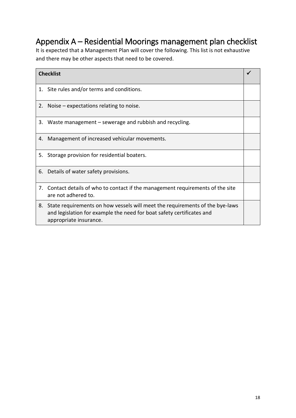## <span id="page-17-0"></span>Appendix A – Residential Moorings management plan checklist

It is expected that a Management Plan will cover the following. This list is not exhaustive and there may be other aspects that need to be covered.

| <b>Checklist</b> |                                                                                                                                                                                 |  |  |
|------------------|---------------------------------------------------------------------------------------------------------------------------------------------------------------------------------|--|--|
|                  |                                                                                                                                                                                 |  |  |
|                  | 1. Site rules and/or terms and conditions.                                                                                                                                      |  |  |
|                  | 2. Noise $-$ expectations relating to noise.                                                                                                                                    |  |  |
| 3.               | Waste management – sewerage and rubbish and recycling.                                                                                                                          |  |  |
|                  | 4. Management of increased vehicular movements.                                                                                                                                 |  |  |
|                  | 5. Storage provision for residential boaters.                                                                                                                                   |  |  |
|                  | 6. Details of water safety provisions.                                                                                                                                          |  |  |
| 7.               | Contact details of who to contact if the management requirements of the site<br>are not adhered to.                                                                             |  |  |
| 8.               | State requirements on how vessels will meet the requirements of the bye-laws<br>and legislation for example the need for boat safety certificates and<br>appropriate insurance. |  |  |